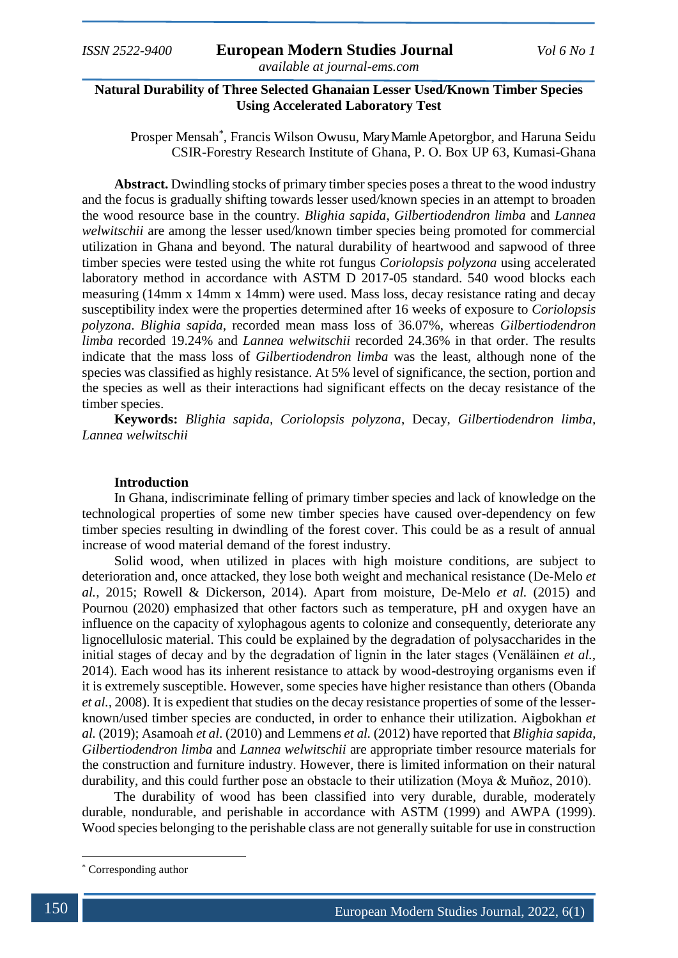# **Natural Durability of Three Selected Ghanaian Lesser Used/Known Timber Species Using Accelerated Laboratory Test**

Prosper Mensah\* , Francis Wilson Owusu, Mary Mamle Apetorgbor, and Haruna Seidu CSIR-Forestry Research Institute of Ghana, P. O. Box UP 63, Kumasi-Ghana

**Abstract.** Dwindling stocks of primary timber species poses a threat to the wood industry and the focus is gradually shifting towards lesser used/known species in an attempt to broaden the wood resource base in the country. *Blighia sapida*, *Gilbertiodendron limba* and *Lannea welwitschii* are among the lesser used/known timber species being promoted for commercial utilization in Ghana and beyond. The natural durability of heartwood and sapwood of three timber species were tested using the white rot fungus *Coriolopsis polyzona* using accelerated laboratory method in accordance with ASTM D 2017-05 standard. 540 wood blocks each measuring (14mm x 14mm x 14mm) were used. Mass loss, decay resistance rating and decay susceptibility index were the properties determined after 16 weeks of exposure to *Coriolopsis polyzona*. *Blighia sapida*, recorded mean mass loss of 36.07%, whereas *Gilbertiodendron limba* recorded 19.24% and *Lannea welwitschii* recorded 24.36% in that order. The results indicate that the mass loss of *Gilbertiodendron limba* was the least, although none of the species was classified as highly resistance. At 5% level of significance, the section, portion and the species as well as their interactions had significant effects on the decay resistance of the timber species.

**Keywords:** *Blighia sapida, Coriolopsis polyzona*, Decay, *Gilbertiodendron limba, Lannea welwitschii*

# **Introduction**

In Ghana, indiscriminate felling of primary timber species and lack of knowledge on the technological properties of some new timber species have caused over-dependency on few timber species resulting in dwindling of the forest cover. This could be as a result of annual increase of wood material demand of the forest industry.

Solid wood, when utilized in places with high moisture conditions, are subject to deterioration and, once attacked, they lose both weight and mechanical resistance (De-Melo *et al.,* 2015; Rowell & Dickerson, 2014). Apart from moisture, De-Melo *et al.* (2015) and Pournou (2020) emphasized that other factors such as temperature, pH and oxygen have an influence on the capacity of xylophagous agents to colonize and consequently, deteriorate any lignocellulosic material. This could be explained by the degradation of polysaccharides in the initial stages of decay and by the degradation of lignin in the later stages (Venäläinen *et al.,* 2014). Each wood has its inherent resistance to attack by wood-destroying organisms even if it is extremely susceptible. However, some species have higher resistance than others (Obanda *et al.,* 2008). It is expedient that studies on the decay resistance properties of some of the lesserknown/used timber species are conducted, in order to enhance their utilization. Aigbokhan *et al.* (2019); Asamoah *et al.* (2010) and Lemmens *et al.* (2012) have reported that *Blighia sapida*, *Gilbertiodendron limba* and *Lannea welwitschii* are appropriate timber resource materials for the construction and furniture industry. However, there is limited information on their natural durability, and this could further pose an obstacle to their utilization (Moya & Muñoz, 2010).

The durability of wood has been classified into very durable, durable, moderately durable, nondurable, and perishable in accordance with ASTM (1999) and AWPA (1999). Wood species belonging to the perishable class are not generally suitable for use in construction

**.** 

<sup>\*</sup> Corresponding author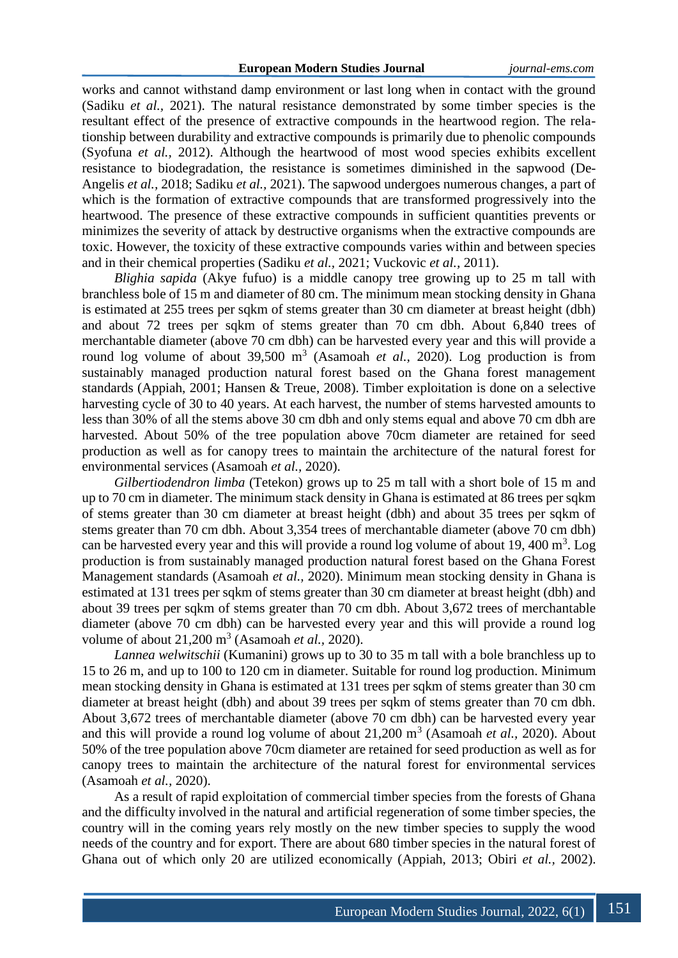works and cannot withstand damp environment or last long when in contact with the ground (Sadiku *et al.,* 2021). The natural resistance demonstrated by some timber species is the resultant effect of the presence of extractive compounds in the heartwood region. The relationship between durability and extractive compounds is primarily due to phenolic compounds (Syofuna *et al.,* 2012). Although the heartwood of most wood species exhibits excellent resistance to biodegradation, the resistance is sometimes diminished in the sapwood (De-Angelis *et al.,* 2018; Sadiku *et al.,* 2021). The sapwood undergoes numerous changes, a part of which is the formation of extractive compounds that are transformed progressively into the heartwood. The presence of these extractive compounds in sufficient quantities prevents or minimizes the severity of attack by destructive organisms when the extractive compounds are toxic. However, the toxicity of these extractive compounds varies within and between species and in their chemical properties (Sadiku *et al.,* 2021; Vuckovic *et al.,* 2011).

*Blighia sapida* (Akye fufuo) is a middle canopy tree growing up to 25 m tall with branchless bole of 15 m and diameter of 80 cm. The minimum mean stocking density in Ghana is estimated at 255 trees per sqkm of stems greater than 30 cm diameter at breast height (dbh) and about 72 trees per sqkm of stems greater than 70 cm dbh. About 6,840 trees of merchantable diameter (above 70 cm dbh) can be harvested every year and this will provide a round log volume of about  $39,500 \text{ m}^3$  (Asamoah *et al.,* 2020). Log production is from sustainably managed production natural forest based on the Ghana forest management standards (Appiah, 2001; Hansen & Treue, 2008). Timber exploitation is done on a selective harvesting cycle of 30 to 40 years. At each harvest, the number of stems harvested amounts to less than 30% of all the stems above 30 cm dbh and only stems equal and above 70 cm dbh are harvested. About 50% of the tree population above 70cm diameter are retained for seed production as well as for canopy trees to maintain the architecture of the natural forest for environmental services (Asamoah *et al.,* 2020).

*Gilbertiodendron limba* (Tetekon) grows up to 25 m tall with a short bole of 15 m and up to 70 cm in diameter. The minimum stack density in Ghana is estimated at 86 trees per sqkm of stems greater than 30 cm diameter at breast height (dbh) and about 35 trees per sqkm of stems greater than 70 cm dbh. About 3,354 trees of merchantable diameter (above 70 cm dbh) can be harvested every year and this will provide a round log volume of about 19, 400  $m<sup>3</sup>$ . Log production is from sustainably managed production natural forest based on the Ghana Forest Management standards (Asamoah *et al.,* 2020). Minimum mean stocking density in Ghana is estimated at 131 trees per sqkm of stems greater than 30 cm diameter at breast height (dbh) and about 39 trees per sqkm of stems greater than 70 cm dbh. About 3,672 trees of merchantable diameter (above 70 cm dbh) can be harvested every year and this will provide a round log volume of about 21,200 m<sup>3</sup> (Asamoah *et al.*, 2020).

*Lannea welwitschii* (Kumanini) grows up to 30 to 35 m tall with a bole branchless up to 15 to 26 m, and up to 100 to 120 cm in diameter. Suitable for round log production. Minimum mean stocking density in Ghana is estimated at 131 trees per sqkm of stems greater than 30 cm diameter at breast height (dbh) and about 39 trees per sqkm of stems greater than 70 cm dbh. About 3,672 trees of merchantable diameter (above 70 cm dbh) can be harvested every year and this will provide a round log volume of about 21,200 m<sup>3</sup> (Asamoah *et al.*, 2020). About 50% of the tree population above 70cm diameter are retained for seed production as well as for canopy trees to maintain the architecture of the natural forest for environmental services (Asamoah *et al.,* 2020).

As a result of rapid exploitation of commercial timber species from the forests of Ghana and the difficulty involved in the natural and artificial regeneration of some timber species, the country will in the coming years rely mostly on the new timber species to supply the wood needs of the country and for export. There are about 680 timber species in the natural forest of Ghana out of which only 20 are utilized economically (Appiah, 2013; Obiri *et al.,* 2002).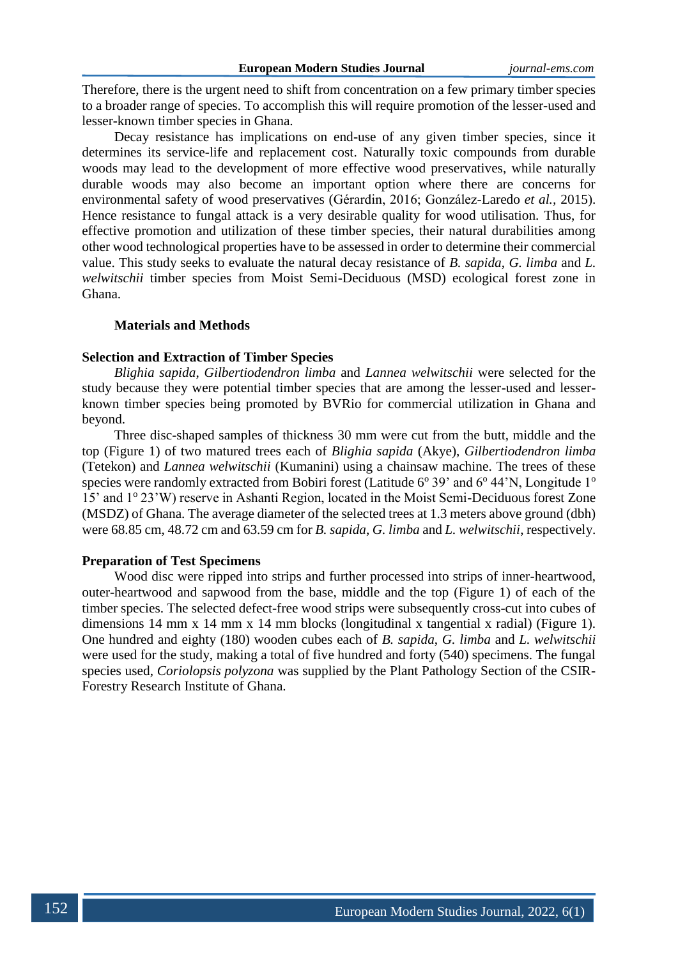Therefore, there is the urgent need to shift from concentration on a few primary timber species to a broader range of species. To accomplish this will require promotion of the lesser-used and lesser-known timber species in Ghana.

Decay resistance has implications on end-use of any given timber species, since it determines its service-life and replacement cost. Naturally toxic compounds from durable woods may lead to the development of more effective wood preservatives, while naturally durable woods may also become an important option where there are concerns for environmental safety of wood preservatives (Gérardin, 2016; González-Laredo *et al.,* 2015). Hence resistance to fungal attack is a very desirable quality for wood utilisation. Thus, for effective promotion and utilization of these timber species, their natural durabilities among other wood technological properties have to be assessed in order to determine their commercial value. This study seeks to evaluate the natural decay resistance of *B. sapida*, *G. limba* and *L. welwitschii* timber species from Moist Semi-Deciduous (MSD) ecological forest zone in Ghana.

### **Materials and Methods**

### **Selection and Extraction of Timber Species**

*Blighia sapida*, *Gilbertiodendron limba* and *Lannea welwitschii* were selected for the study because they were potential timber species that are among the lesser-used and lesserknown timber species being promoted by BVRio for commercial utilization in Ghana and beyond.

Three disc-shaped samples of thickness 30 mm were cut from the butt, middle and the top (Figure 1) of two matured trees each of *Blighia sapida* (Akye), *Gilbertiodendron limba* (Tetekon) and *Lannea welwitschii* (Kumanini) using a chainsaw machine. The trees of these species were randomly extracted from Bobiri forest (Latitude  $6^{\circ}$  39' and  $6^{\circ}$  44'N, Longitude  $1^{\circ}$ 15' and 1° 23'W) reserve in Ashanti Region, located in the Moist Semi-Deciduous forest Zone (MSDZ) of Ghana. The average diameter of the selected trees at 1.3 meters above ground (dbh) were 68.85 cm, 48.72 cm and 63.59 cm for *B. sapida*, *G. limba* and *L. welwitschii*, respectively.

#### **Preparation of Test Specimens**

Wood disc were ripped into strips and further processed into strips of inner-heartwood, outer-heartwood and sapwood from the base, middle and the top (Figure 1) of each of the timber species. The selected defect-free wood strips were subsequently cross-cut into cubes of dimensions 14 mm x 14 mm x 14 mm blocks (longitudinal x tangential x radial) (Figure 1). One hundred and eighty (180) wooden cubes each of *B. sapida*, *G. limba* and *L. welwitschii* were used for the study, making a total of five hundred and forty (540) specimens. The fungal species used, *Coriolopsis polyzona* was supplied by the Plant Pathology Section of the CSIR-Forestry Research Institute of Ghana.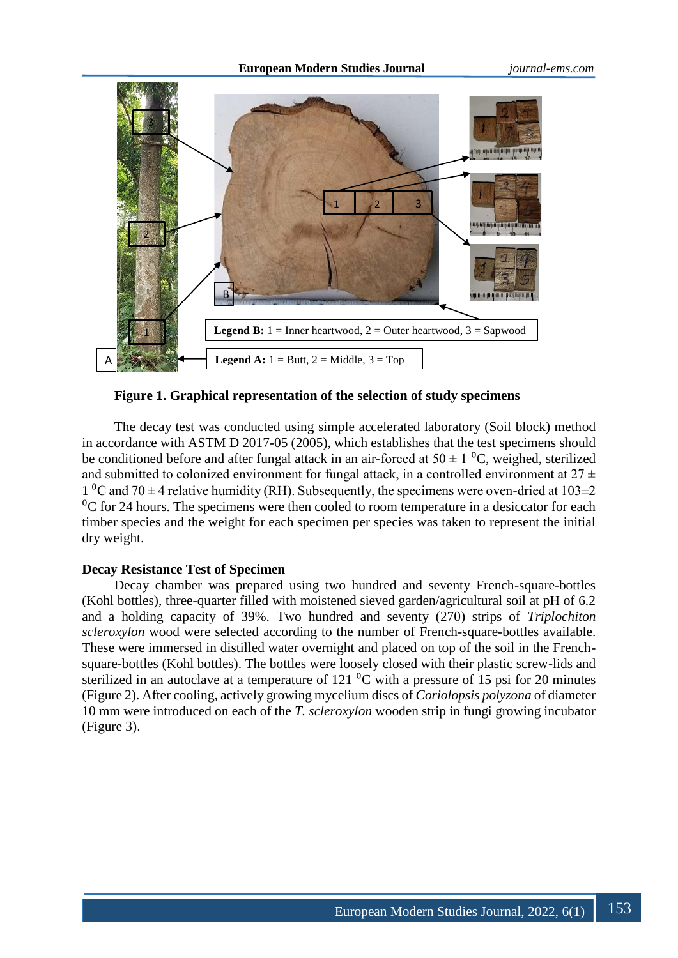

**Figure 1. Graphical representation of the selection of study specimens**

The decay test was conducted using simple accelerated laboratory (Soil block) method in accordance with ASTM D 2017-05 (2005), which establishes that the test specimens should be conditioned before and after fungal attack in an air-forced at  $50 \pm 1$  °C, weighed, sterilized and submitted to colonized environment for fungal attack, in a controlled environment at  $27 \pm$ 1 <sup>o</sup>C and 70  $\pm$  4 relative humidity (RH). Subsequently, the specimens were oven-dried at 103 $\pm$ 2  ${}^{0}C$  for 24 hours. The specimens were then cooled to room temperature in a desiccator for each timber species and the weight for each specimen per species was taken to represent the initial dry weight.

# **Decay Resistance Test of Specimen**

Decay chamber was prepared using two hundred and seventy French-square-bottles (Kohl bottles), three-quarter filled with moistened sieved garden/agricultural soil at pH of 6.2 and a holding capacity of 39%. Two hundred and seventy (270) strips of *Triplochiton scleroxylon* wood were selected according to the number of French-square-bottles available. These were immersed in distilled water overnight and placed on top of the soil in the Frenchsquare-bottles (Kohl bottles). The bottles were loosely closed with their plastic screw-lids and sterilized in an autoclave at a temperature of  $121<sup>0</sup>C$  with a pressure of 15 psi for 20 minutes (Figure 2). After cooling, actively growing mycelium discs of *Coriolopsis polyzona* of diameter 10 mm were introduced on each of the *T. scleroxylon* wooden strip in fungi growing incubator (Figure 3).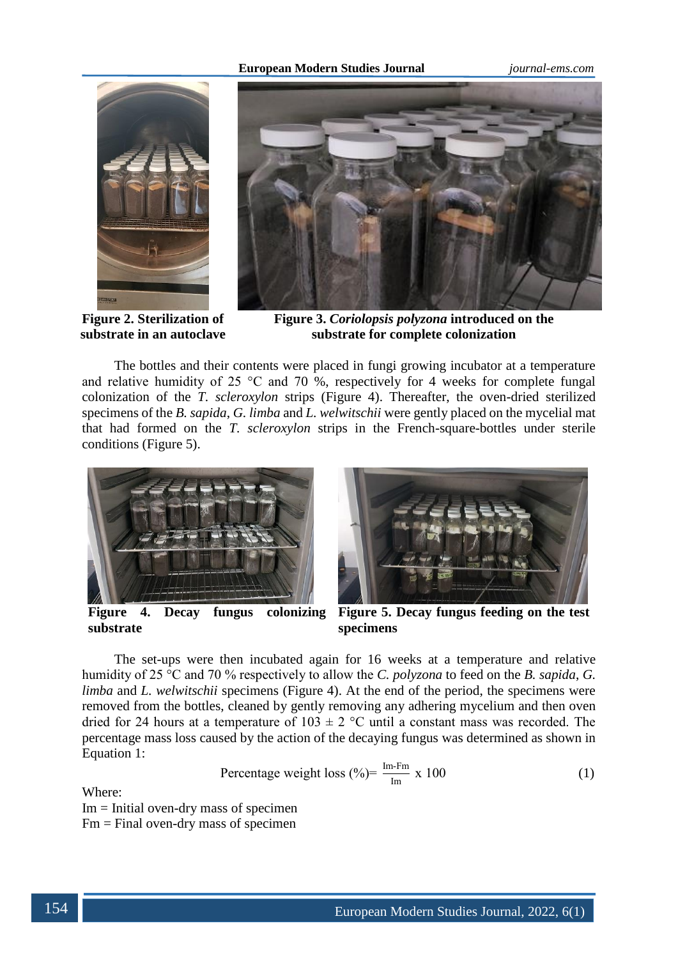#### **European Modern Studies Journal** *journal-ems.com*



**Figure 2. Sterilization of substrate in an autoclave**



**Figure 3.** *Coriolopsis polyzona* **introduced on the substrate for complete colonization**

The bottles and their contents were placed in fungi growing incubator at a temperature and relative humidity of 25  $\degree$ C and 70 %, respectively for 4 weeks for complete fungal colonization of the *T. scleroxylon* strips (Figure 4). Thereafter, the oven-dried sterilized specimens of the *B. sapida*, *G. limba* and *L. welwitschii* were gently placed on the mycelial mat that had formed on the *T. scleroxylon* strips in the French-square-bottles under sterile conditions (Figure 5).



**Figure 4. Decay fungus colonizing substrate**



**Figure 5. Decay fungus feeding on the test specimens**

The set-ups were then incubated again for 16 weeks at a temperature and relative humidity of 25 °C and 70 % respectively to allow the *C. polyzona* to feed on the *B. sapida*, *G. limba* and *L. welwitschii* specimens (Figure 4). At the end of the period, the specimens were removed from the bottles, cleaned by gently removing any adhering mycelium and then oven dried for 24 hours at a temperature of  $103 \pm 2$  °C until a constant mass was recorded. The percentage mass loss caused by the action of the decaying fungus was determined as shown in Equation 1:

Percentage weight loss 
$$
(\%) = \frac{\text{Im-Fm}}{\text{Im}} \times 100
$$
 (1)

Where:

Im = Initial oven-dry mass of specimen  $Fm = Find over-dry mass of specimen$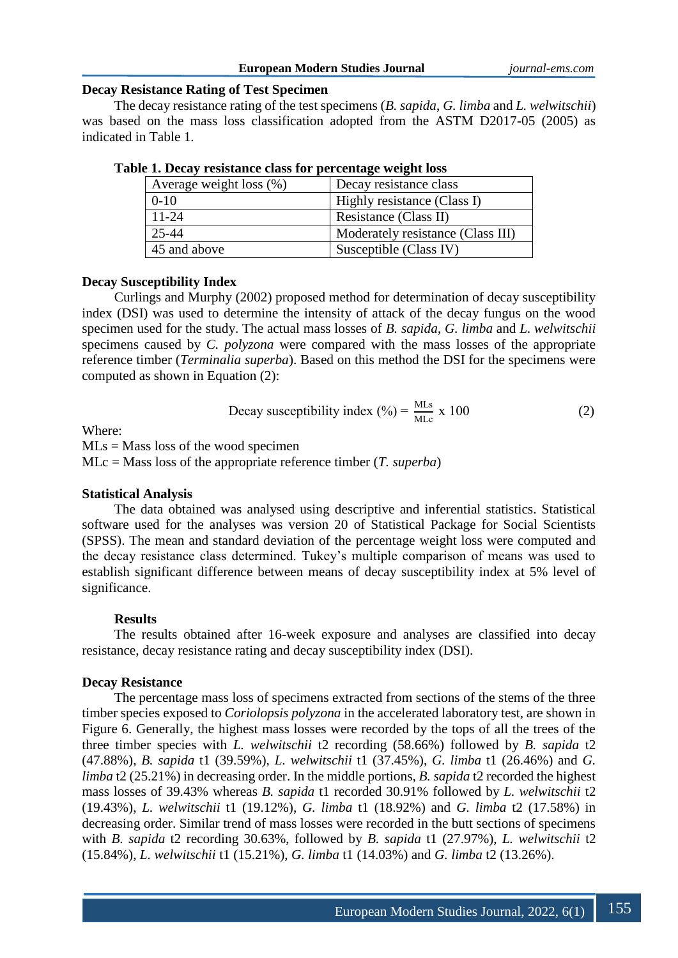### **European Modern Studies Journal** *journal-ems.com*

## **Decay Resistance Rating of Test Specimen**

The decay resistance rating of the test specimens (*B. sapida*, *G. limba* and *L. welwitschii*) was based on the mass loss classification adopted from the ASTM D2017-05 (2005) as indicated in Table 1.

| Average weight loss $(\%)$ | Decay resistance class            |
|----------------------------|-----------------------------------|
| $0-10$                     | Highly resistance (Class I)       |
| $11 - 24$                  | Resistance (Class II)             |
| 25-44                      | Moderately resistance (Class III) |
| 45 and above               | Susceptible (Class IV)            |

**Table 1. Decay resistance class for percentage weight loss**

# **Decay Susceptibility Index**

Curlings and Murphy (2002) proposed method for determination of decay susceptibility index (DSI) was used to determine the intensity of attack of the decay fungus on the wood specimen used for the study. The actual mass losses of *B. sapida*, *G. limba* and *L. welwitschii* specimens caused by *C. polyzona* were compared with the mass losses of the appropriate reference timber (*Terminalia superba*). Based on this method the DSI for the specimens were computed as shown in Equation (2):

Decay susceptibility index (
$$
\%
$$
) =  $\frac{\text{MLs}}{\text{MLc}}$  x 100 (2)

Where:

 $MLs = Mass$  loss of the wood specimen

MLc = Mass loss of the appropriate reference timber (*T. superba*)

## **Statistical Analysis**

The data obtained was analysed using descriptive and inferential statistics. Statistical software used for the analyses was version 20 of Statistical Package for Social Scientists (SPSS). The mean and standard deviation of the percentage weight loss were computed and the decay resistance class determined. Tukey's multiple comparison of means was used to establish significant difference between means of decay susceptibility index at 5% level of significance.

## **Results**

The results obtained after 16-week exposure and analyses are classified into decay resistance, decay resistance rating and decay susceptibility index (DSI).

# **Decay Resistance**

The percentage mass loss of specimens extracted from sections of the stems of the three timber species exposed to *Coriolopsis polyzona* in the accelerated laboratory test, are shown in Figure 6. Generally, the highest mass losses were recorded by the tops of all the trees of the three timber species with *L. welwitschii* t2 recording (58.66%) followed by *B. sapida* t2 (47.88%), *B. sapida* t1 (39.59%), *L. welwitschii* t1 (37.45%), *G. limba* t1 (26.46%) and *G. limba* t2 (25.21%) in decreasing order. In the middle portions, *B. sapida* t2 recorded the highest mass losses of 39.43% whereas *B. sapida* t1 recorded 30.91% followed by *L. welwitschii* t2 (19.43%), *L. welwitschii* t1 (19.12%), *G. limba* t1 (18.92%) and *G. limba* t2 (17.58%) in decreasing order. Similar trend of mass losses were recorded in the butt sections of specimens with *B. sapida* t2 recording 30.63%, followed by *B. sapida* t1 (27.97%), *L. welwitschii* t2 (15.84%), *L. welwitschii* t1 (15.21%), *G. limba* t1 (14.03%) and *G. limba* t2 (13.26%).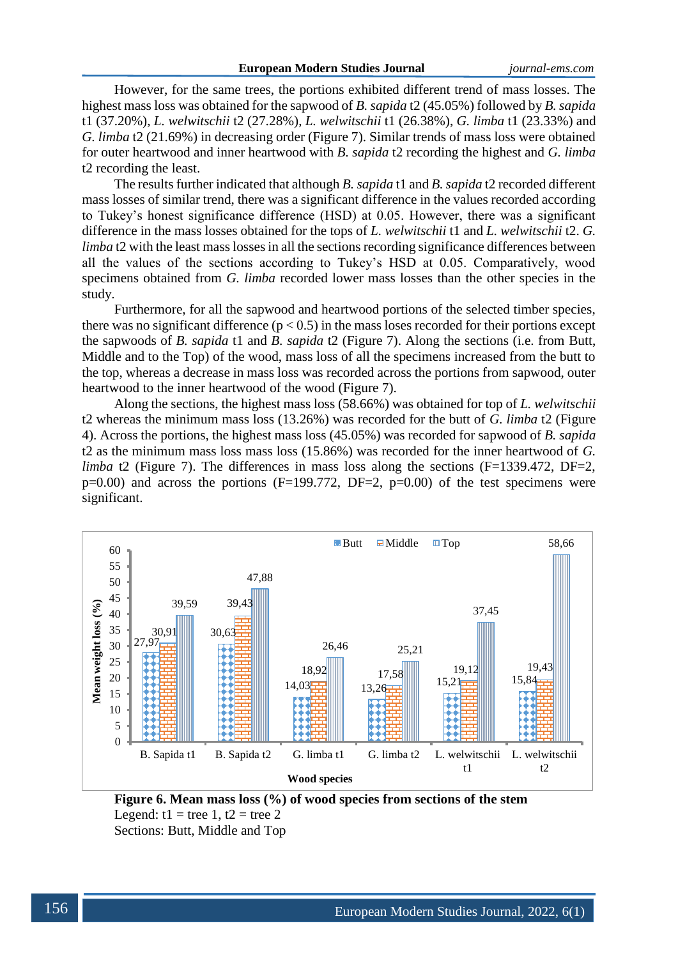However, for the same trees, the portions exhibited different trend of mass losses. The highest mass loss was obtained for the sapwood of *B. sapida* t2 (45.05%) followed by *B. sapida* t1 (37.20%), *L. welwitschii* t2 (27.28%), *L. welwitschii* t1 (26.38%), *G. limba* t1 (23.33%) and *G. limba* t2 (21.69%) in decreasing order (Figure 7). Similar trends of mass loss were obtained for outer heartwood and inner heartwood with *B. sapida* t2 recording the highest and *G. limba* t2 recording the least.

The results further indicated that although *B. sapida* t1 and *B. sapida* t2 recorded different mass losses of similar trend, there was a significant difference in the values recorded according to Tukey's honest significance difference (HSD) at 0.05. However, there was a significant difference in the mass losses obtained for the tops of *L. welwitschii* t1 and *L. welwitschii* t2. *G. limba* t<sub>2</sub> with the least mass losses in all the sections recording significance differences between all the values of the sections according to Tukey's HSD at 0.05. Comparatively, wood specimens obtained from *G. limba* recorded lower mass losses than the other species in the study.

Furthermore, for all the sapwood and heartwood portions of the selected timber species, there was no significant difference  $(p < 0.5)$  in the mass loses recorded for their portions except the sapwoods of *B. sapida* t1 and *B. sapida* t2 (Figure 7). Along the sections (i.e. from Butt, Middle and to the Top) of the wood, mass loss of all the specimens increased from the butt to the top, whereas a decrease in mass loss was recorded across the portions from sapwood, outer heartwood to the inner heartwood of the wood (Figure 7).

Along the sections, the highest mass loss (58.66%) was obtained for top of *L. welwitschii* t2 whereas the minimum mass loss (13.26%) was recorded for the butt of *G. limba* t2 (Figure 4). Across the portions, the highest mass loss (45.05%) was recorded for sapwood of *B. sapida* t2 as the minimum mass loss mass loss (15.86%) was recorded for the inner heartwood of *G. limba* t2 (Figure 7). The differences in mass loss along the sections (F=1339.472, DF=2,  $p=0.00$ ) and across the portions (F=199.772, DF=2,  $p=0.00$ ) of the test specimens were significant.



**Figure 6. Mean mass loss (%) of wood species from sections of the stem** Legend:  $t1 =$  tree 1,  $t2 =$  tree 2 Sections: Butt, Middle and Top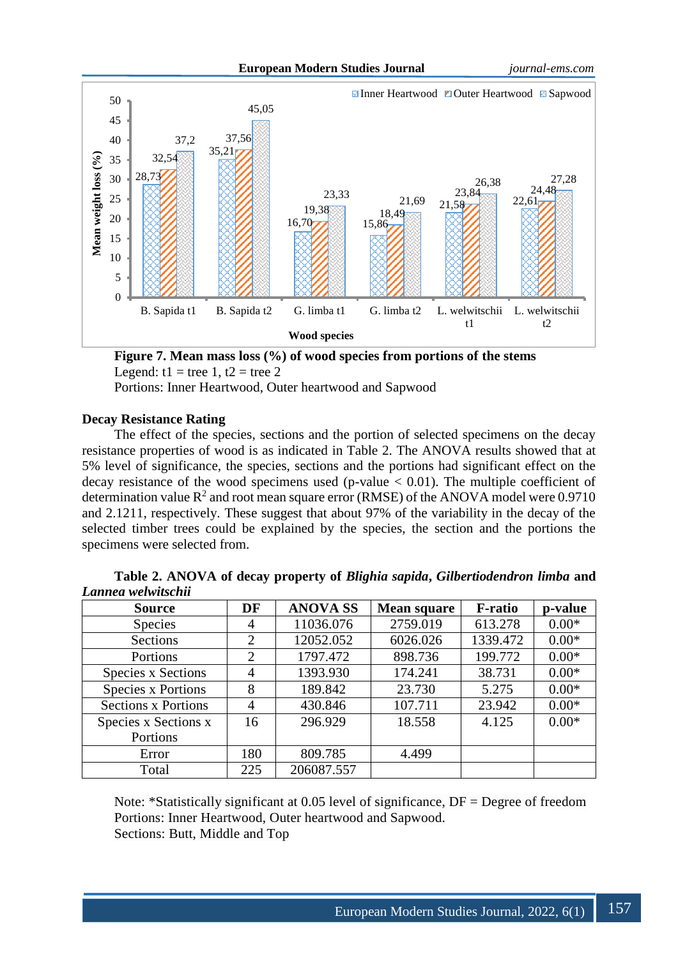

**Figure 7. Mean mass loss (%) of wood species from portions of the stems** Legend:  $t1 =$  tree 1,  $t2 =$  tree 2

Portions: Inner Heartwood, Outer heartwood and Sapwood

# **Decay Resistance Rating**

The effect of the species, sections and the portion of selected specimens on the decay resistance properties of wood is as indicated in Table 2. The ANOVA results showed that at 5% level of significance, the species, sections and the portions had significant effect on the decay resistance of the wood specimens used (p-value  $< 0.01$ ). The multiple coefficient of determination value  $R^2$  and root mean square error (RMSE) of the ANOVA model were 0.9710 and 2.1211, respectively. These suggest that about 97% of the variability in the decay of the selected timber trees could be explained by the species, the section and the portions the specimens were selected from.

| <b>Source</b>              | DF             | <b>ANOVA SS</b> | <b>Mean square</b> | <b>F-ratio</b> | p-value |
|----------------------------|----------------|-----------------|--------------------|----------------|---------|
| <b>Species</b>             | $\overline{4}$ | 11036.076       | 2759.019           | 613.278        | $0.00*$ |
| Sections                   | 2              | 12052.052       | 6026.026           | 1339.472       | $0.00*$ |
| Portions                   | $\overline{2}$ | 1797.472        | 898.736            | 199.772        | $0.00*$ |
| <b>Species x Sections</b>  | $\overline{4}$ | 1393.930        | 174.241            | 38.731         | $0.00*$ |
| <b>Species x Portions</b>  | 8              | 189.842         | 23.730             | 5.275          | $0.00*$ |
| <b>Sections x Portions</b> | $\overline{4}$ | 430.846         | 107.711            | 23.942         | $0.00*$ |
| Species x Sections x       | 16             | 296.929         | 18.558             | 4.125          | $0.00*$ |
| Portions                   |                |                 |                    |                |         |
| Error                      | 180            | 809.785         | 4.499              |                |         |
| Total                      | 225            | 206087.557      |                    |                |         |

| Table 2. ANOVA of decay property of Blighia sapida, Gilbertiodendron limba and |  |  |  |
|--------------------------------------------------------------------------------|--|--|--|
| Lannea welwitschii                                                             |  |  |  |

Note: \*Statistically significant at 0.05 level of significance, DF = Degree of freedom Portions: Inner Heartwood, Outer heartwood and Sapwood. Sections: Butt, Middle and Top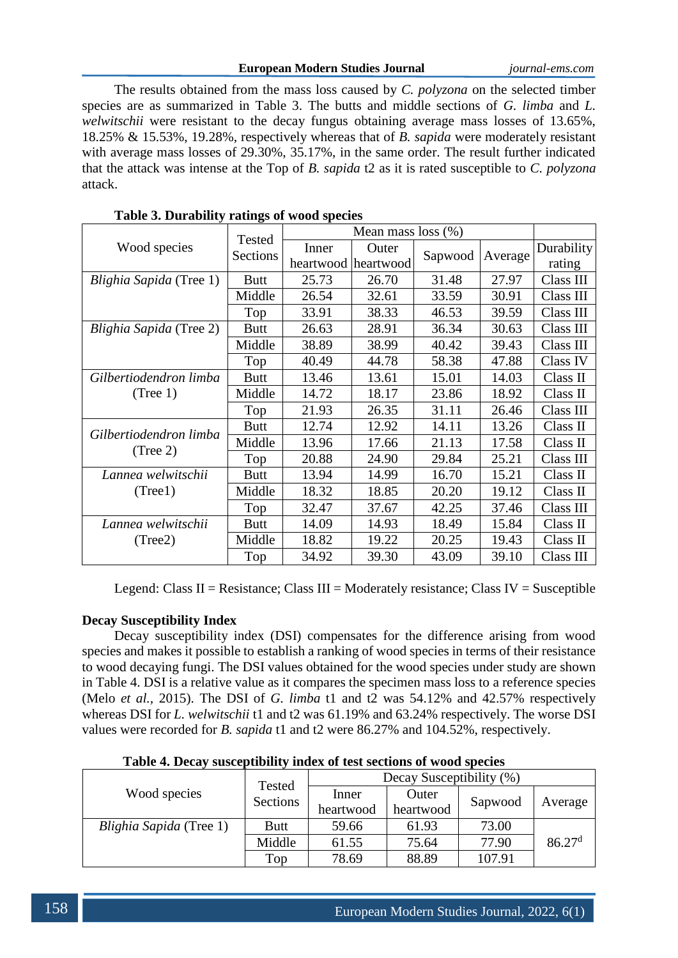## **European Modern Studies Journal** *journal-ems.com*

The results obtained from the mass loss caused by *C. polyzona* on the selected timber species are as summarized in Table 3. The butts and middle sections of *G. limba* and *L. welwitschii* were resistant to the decay fungus obtaining average mass losses of 13.65%, 18.25% & 15.53%, 19.28%, respectively whereas that of *B. sapida* were moderately resistant with average mass losses of 29.30%, 35.17%, in the same order. The result further indicated that the attack was intense at the Top of *B. sapida* t2 as it is rated susceptible to *C. polyzona* attack.

|                                    | Tested      |       |                     |         |         |            |
|------------------------------------|-------------|-------|---------------------|---------|---------|------------|
| Wood species                       | Sections    | Inner | Outer               |         |         | Durability |
|                                    |             |       | heartwood heartwood | Sapwood | Average | rating     |
| Blighia Sapida (Tree 1)            | <b>Butt</b> | 25.73 | 26.70               | 31.48   | 27.97   | Class III  |
|                                    | Middle      | 26.54 | 32.61               | 33.59   | 30.91   | Class III  |
|                                    | Top         | 33.91 | 38.33               | 46.53   | 39.59   | Class III  |
| Blighia Sapida (Tree 2)            | <b>Butt</b> | 26.63 | 28.91               | 36.34   | 30.63   | Class III  |
|                                    | Middle      | 38.89 | 38.99               | 40.42   | 39.43   | Class III  |
|                                    | Top         | 40.49 | 44.78               | 58.38   | 47.88   | Class IV   |
| Gilbertiodendron limba             | <b>Butt</b> | 13.46 | 13.61               | 15.01   | 14.03   | Class II   |
| (Tree 1)                           | Middle      | 14.72 | 18.17               | 23.86   | 18.92   | Class II   |
|                                    | Top         | 21.93 | 26.35               | 31.11   | 26.46   | Class III  |
|                                    | <b>Butt</b> | 12.74 | 12.92               | 14.11   | 13.26   | Class II   |
| Gilbertiodendron limba<br>(Tree 2) | Middle      | 13.96 | 17.66               | 21.13   | 17.58   | Class II   |
|                                    | Top         | 20.88 | 24.90               | 29.84   | 25.21   | Class III  |
| Lannea welwitschii                 | <b>Butt</b> | 13.94 | 14.99               | 16.70   | 15.21   | Class II   |
| (Tree1)                            | Middle      | 18.32 | 18.85               | 20.20   | 19.12   | Class II   |
|                                    | Top         | 32.47 | 37.67               | 42.25   | 37.46   | Class III  |
| Lannea welwitschii                 | <b>Butt</b> | 14.09 | 14.93               | 18.49   | 15.84   | Class II   |
| (Tree2)                            | Middle      | 18.82 | 19.22               | 20.25   | 19.43   | Class II   |
|                                    | Top         | 34.92 | 39.30               | 43.09   | 39.10   | Class III  |

# **Table 3. Durability ratings of wood species**

Legend: Class II = Resistance; Class III = Moderately resistance; Class IV = Susceptible

# **Decay Susceptibility Index**

Decay susceptibility index (DSI) compensates for the difference arising from wood species and makes it possible to establish a ranking of wood species in terms of their resistance to wood decaying fungi. The DSI values obtained for the wood species under study are shown in Table 4. DSI is a relative value as it compares the specimen mass loss to a reference species (Melo *et al.,* 2015). The DSI of *G. limba* t1 and t2 was 54.12% and 42.57% respectively whereas DSI for *L. welwitschii* t1 and t2 was 61.19% and 63.24% respectively. The worse DSI values were recorded for *B. sapida* t1 and t2 were 86.27% and 104.52%, respectively.

|                                | Tested<br>Sections | Decay Susceptibility (%) |           |         |                    |  |
|--------------------------------|--------------------|--------------------------|-----------|---------|--------------------|--|
| Wood species                   |                    | Inner                    | Outer     |         | Average            |  |
|                                |                    | heartwood                | heartwood | Sapwood |                    |  |
| <i>Blighia Sapida</i> (Tree 1) | Butt               | 59.66                    | 61.93     | 73.00   |                    |  |
|                                | Middle             | 61.55                    | 75.64     | 77.90   | 86.27 <sup>d</sup> |  |
|                                | Top                | 78.69                    | 88.89     | 107.91  |                    |  |

**Table 4. Decay susceptibility index of test sections of wood species**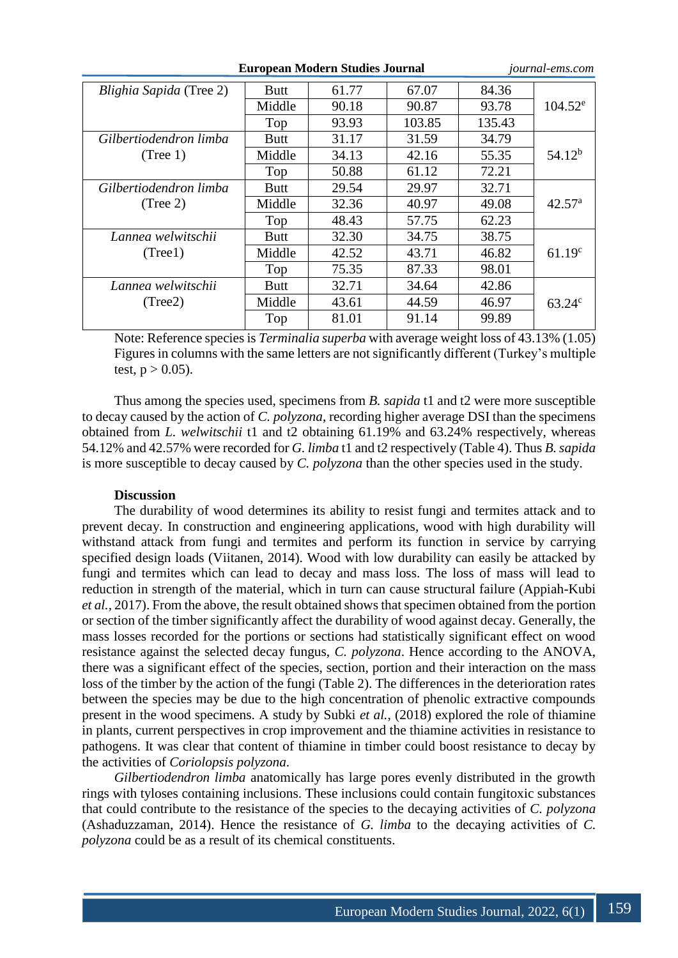| <b>European Modern Studies Journal</b> |             | <i>journal-ems.com</i> |        |        |                    |
|----------------------------------------|-------------|------------------------|--------|--------|--------------------|
| Blighia Sapida (Tree 2)                | <b>Butt</b> | 61.77                  | 67.07  | 84.36  |                    |
|                                        | Middle      | 90.18                  | 90.87  | 93.78  | $104.52^e$         |
|                                        | Top         | 93.93                  | 103.85 | 135.43 |                    |
| Gilbertiodendron limba                 | Butt        | 31.17                  | 31.59  | 34.79  |                    |
| (Tree 1)                               | Middle      | 34.13                  | 42.16  | 55.35  | $54.12^{b}$        |
|                                        | Top         | 50.88                  | 61.12  | 72.21  |                    |
| Gilbertiodendron limba                 | Butt        | 29.54                  | 29.97  | 32.71  |                    |
| (Tree 2)                               | Middle      | 32.36                  | 40.97  | 49.08  | $42.57^{\rm a}$    |
|                                        | Top         | 48.43                  | 57.75  | 62.23  |                    |
| Lannea welwitschii                     | <b>Butt</b> | 32.30                  | 34.75  | 38.75  |                    |
| (Tree1)                                | Middle      | 42.52                  | 43.71  | 46.82  | 61.19 <sup>c</sup> |
|                                        | Top         | 75.35                  | 87.33  | 98.01  |                    |
| Lannea welwitschii                     | <b>Butt</b> | 32.71                  | 34.64  | 42.86  |                    |
| (Tree2)                                | Middle      | 43.61                  | 44.59  | 46.97  | $63.24^{\circ}$    |
|                                        | Top         | 81.01                  | 91.14  | 99.89  |                    |

Note: Reference species is *Terminalia superba* with average weight loss of 43.13% (1.05) Figures in columns with the same letters are not significantly different (Turkey's multiple test,  $p > 0.05$ ).

Thus among the species used, specimens from *B. sapida* t1 and t2 were more susceptible to decay caused by the action of *C. polyzona*, recording higher average DSI than the specimens obtained from *L. welwitschii* t1 and t2 obtaining 61.19% and 63.24% respectively, whereas 54.12% and 42.57% were recorded for *G. limba* t1 and t2 respectively (Table 4). Thus *B. sapida* is more susceptible to decay caused by *C. polyzona* than the other species used in the study.

## **Discussion**

The durability of wood determines its ability to resist fungi and termites attack and to prevent decay. In construction and engineering applications, wood with high durability will withstand attack from fungi and termites and perform its function in service by carrying specified design loads (Viitanen, 2014). Wood with low durability can easily be attacked by fungi and termites which can lead to decay and mass loss. The loss of mass will lead to reduction in strength of the material, which in turn can cause structural failure (Appiah-Kubi *et al.,* 2017). From the above, the result obtained shows that specimen obtained from the portion or section of the timber significantly affect the durability of wood against decay. Generally, the mass losses recorded for the portions or sections had statistically significant effect on wood resistance against the selected decay fungus, *C. polyzona*. Hence according to the ANOVA, there was a significant effect of the species, section, portion and their interaction on the mass loss of the timber by the action of the fungi (Table 2). The differences in the deterioration rates between the species may be due to the high concentration of phenolic extractive compounds present in the wood specimens. A study by Subki *et al.,* (2018) explored the role of thiamine in plants, current perspectives in crop improvement and the thiamine activities in resistance to pathogens. It was clear that content of thiamine in timber could boost resistance to decay by the activities of *Coriolopsis polyzona*.

*Gilbertiodendron limba* anatomically has large pores evenly distributed in the growth rings with tyloses containing inclusions. These inclusions could contain fungitoxic substances that could contribute to the resistance of the species to the decaying activities of *C. polyzona*  (Ashaduzzaman, 2014). Hence the resistance of *G. limba* to the decaying activities of *C. polyzona* could be as a result of its chemical constituents.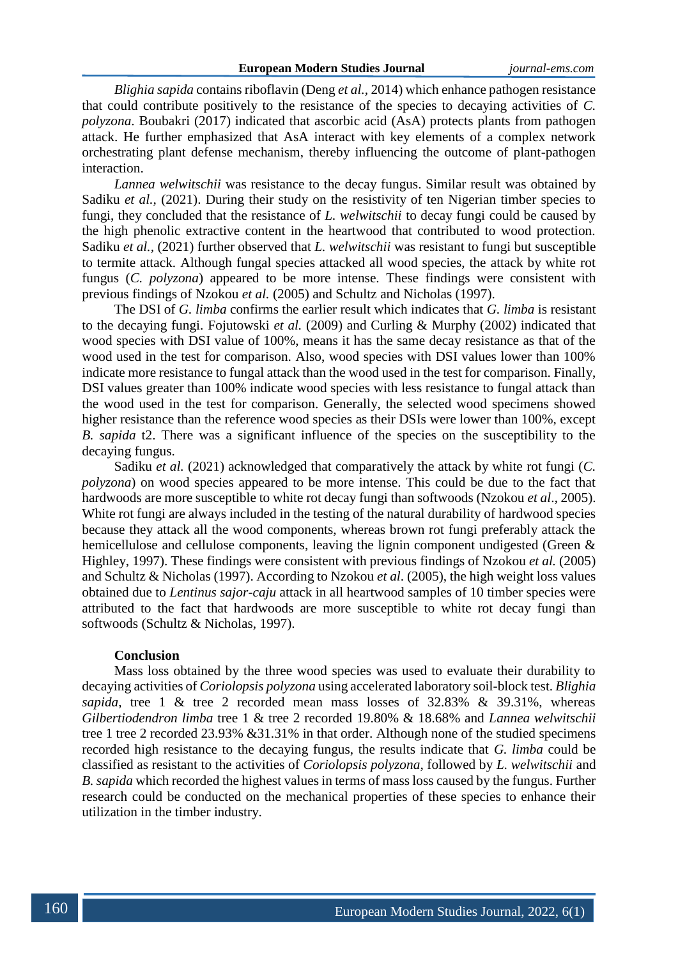*Blighia sapida* contains riboflavin (Deng *et al.,* 2014) which enhance pathogen resistance that could contribute positively to the resistance of the species to decaying activities of *C. polyzona*. Boubakri (2017) indicated that ascorbic acid (AsA) protects plants from pathogen attack. He further emphasized that AsA interact with key elements of a complex network orchestrating plant defense mechanism, thereby influencing the outcome of plant-pathogen interaction.

*Lannea welwitschii* was resistance to the decay fungus. Similar result was obtained by Sadiku *et al.*, (2021). During their study on the resistivity of ten Nigerian timber species to fungi, they concluded that the resistance of *L. welwitschii* to decay fungi could be caused by the high phenolic extractive content in the heartwood that contributed to wood protection. Sadiku *et al.,* (2021) further observed that *L. welwitschii* was resistant to fungi but susceptible to termite attack. Although fungal species attacked all wood species, the attack by white rot fungus (*C. polyzona*) appeared to be more intense. These findings were consistent with previous findings of Nzokou *et al.* (2005) and Schultz and Nicholas (1997).

The DSI of *G. limba* confirms the earlier result which indicates that *G. limba* is resistant to the decaying fungi. Fojutowski *et al.* (2009) and Curling & Murphy (2002) indicated that wood species with DSI value of 100%, means it has the same decay resistance as that of the wood used in the test for comparison. Also, wood species with DSI values lower than 100% indicate more resistance to fungal attack than the wood used in the test for comparison. Finally, DSI values greater than 100% indicate wood species with less resistance to fungal attack than the wood used in the test for comparison. Generally, the selected wood specimens showed higher resistance than the reference wood species as their DSIs were lower than 100%, except *B. sapida* t2. There was a significant influence of the species on the susceptibility to the decaying fungus.

Sadiku *et al.* (2021) acknowledged that comparatively the attack by white rot fungi (*C. polyzona*) on wood species appeared to be more intense. This could be due to the fact that hardwoods are more susceptible to white rot decay fungi than softwoods (Nzokou *et al*., 2005). White rot fungi are always included in the testing of the natural durability of hardwood species because they attack all the wood components, whereas brown rot fungi preferably attack the hemicellulose and cellulose components, leaving the lignin component undigested (Green & Highley, 1997). These findings were consistent with previous findings of Nzokou *et al.* (2005) and Schultz & Nicholas (1997). According to Nzokou *et al*. (2005), the high weight loss values obtained due to *Lentinus sajor-caju* attack in all heartwood samples of 10 timber species were attributed to the fact that hardwoods are more susceptible to white rot decay fungi than softwoods (Schultz & Nicholas, 1997).

#### **Conclusion**

Mass loss obtained by the three wood species was used to evaluate their durability to decaying activities of *Coriolopsis polyzona* using accelerated laboratory soil-block test. *Blighia sapida*, tree 1 & tree 2 recorded mean mass losses of 32.83% & 39.31%, whereas *Gilbertiodendron limba* tree 1 & tree 2 recorded 19.80% & 18.68% and *Lannea welwitschii* tree 1 tree 2 recorded 23.93% &31.31% in that order. Although none of the studied specimens recorded high resistance to the decaying fungus, the results indicate that *G. limba* could be classified as resistant to the activities of *Coriolopsis polyzona*, followed by *L. welwitschii* and *B. sapida* which recorded the highest values in terms of mass loss caused by the fungus. Further research could be conducted on the mechanical properties of these species to enhance their utilization in the timber industry.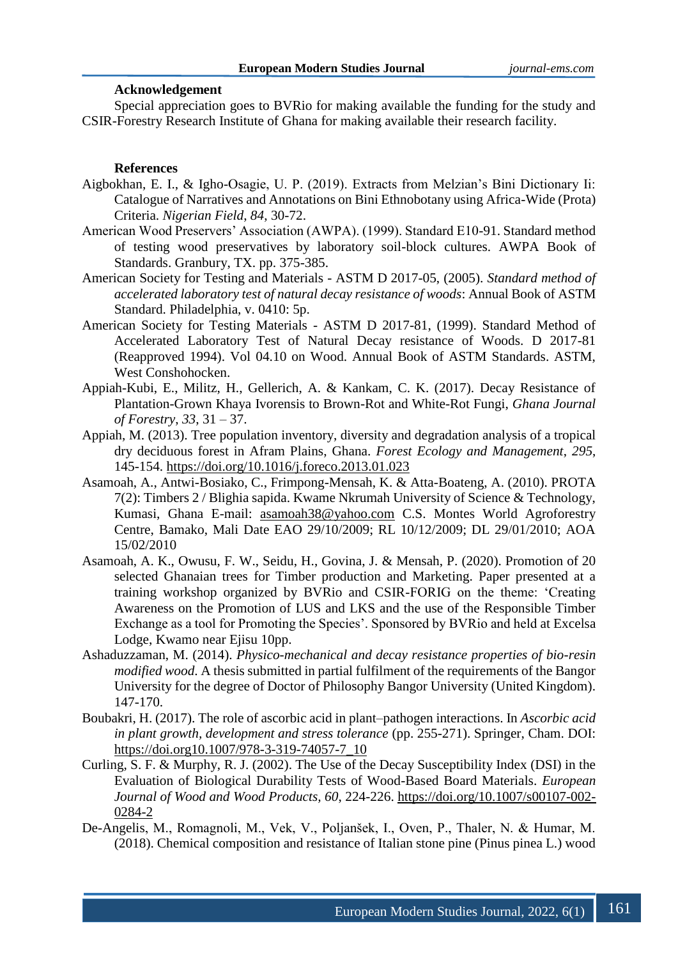## **Acknowledgement**

Special appreciation goes to BVRio for making available the funding for the study and CSIR-Forestry Research Institute of Ghana for making available their research facility.

#### **References**

- Aigbokhan, E. I., & Igho-Osagie, U. P. (2019). Extracts from Melzian's Bini Dictionary Ii: Catalogue of Narratives and Annotations on Bini Ethnobotany using Africa-Wide (Prota) Criteria. *Nigerian Field*, *84*, 30-72.
- American Wood Preservers' Association (AWPA). (1999). Standard E10-91. Standard method of testing wood preservatives by laboratory soil-block cultures. AWPA Book of Standards. Granbury, TX. pp. 375-385.
- American Society for Testing and Materials ASTM D 2017-05, (2005). *Standard method of accelerated laboratory test of natural decay resistance of woods*: Annual Book of ASTM Standard. Philadelphia, v. 0410: 5p.
- American Society for Testing Materials ASTM D 2017-81, (1999). Standard Method of Accelerated Laboratory Test of Natural Decay resistance of Woods. D 2017-81 (Reapproved 1994). Vol 04.10 on Wood. Annual Book of ASTM Standards. ASTM, West Conshohocken.
- Appiah-Kubi, E., Militz, H., Gellerich, A. & Kankam, C. K. (2017). Decay Resistance of Plantation-Grown Khaya Ivorensis to Brown-Rot and White-Rot Fungi, *Ghana Journal of Forestry*, *33*, 31 – 37.
- Appiah, M. (2013). Tree population inventory, diversity and degradation analysis of a tropical dry deciduous forest in Afram Plains, Ghana. *Forest Ecology and Management*, *295*, 145-154.<https://doi.org/10.1016/j.foreco.2013.01.023>
- Asamoah, A., Antwi-Bosiako, C., Frimpong-Mensah, K. & Atta-Boateng, A. (2010). PROTA 7(2): Timbers 2 / Blighia sapida. Kwame Nkrumah University of Science & Technology, Kumasi, Ghana E-mail: asamoah38@yahoo.com C.S. Montes World Agroforestry Centre, Bamako, Mali Date EAO 29/10/2009; RL 10/12/2009; DL 29/01/2010; AOA 15/02/2010
- Asamoah, A. K., Owusu, F. W., Seidu, H., Govina, J. & Mensah, P. (2020). Promotion of 20 selected Ghanaian trees for Timber production and Marketing. Paper presented at a training workshop organized by BVRio and CSIR-FORIG on the theme: 'Creating Awareness on the Promotion of LUS and LKS and the use of the Responsible Timber Exchange as a tool for Promoting the Species'. Sponsored by BVRio and held at Excelsa Lodge, Kwamo near Ejisu 10pp.
- Ashaduzzaman, M. (2014). *Physico-mechanical and decay resistance properties of bio-resin modified wood*. A thesis submitted in partial fulfilment of the requirements of the Bangor University for the degree of Doctor of Philosophy Bangor University (United Kingdom). 147-170.
- Boubakri, H. (2017). The role of ascorbic acid in plant–pathogen interactions. In *Ascorbic acid in plant growth, development and stress tolerance* (pp. 255-271). Springer, Cham. DOI: [https://doi.org10.1007/978-3-319-74057-7\\_10](https://doi.org10.1007/978-3-319-74057-7_10)
- Curling, S. F. & Murphy, R. J. (2002). The Use of the Decay Susceptibility Index (DSI) in the Evaluation of Biological Durability Tests of Wood-Based Board Materials. *European Journal of Wood and Wood Products, 60*, 224-226. [https://doi.org/10.1007/s00107-002-](https://doi.org/10.1007/s00107-002-0284-2) [0284-2](https://doi.org/10.1007/s00107-002-0284-2)
- De-Angelis, M., Romagnoli, M., Vek, V., Poljanšek, I., Oven, P., Thaler, N. & Humar, M. (2018). Chemical composition and resistance of Italian stone pine (Pinus pinea L.) wood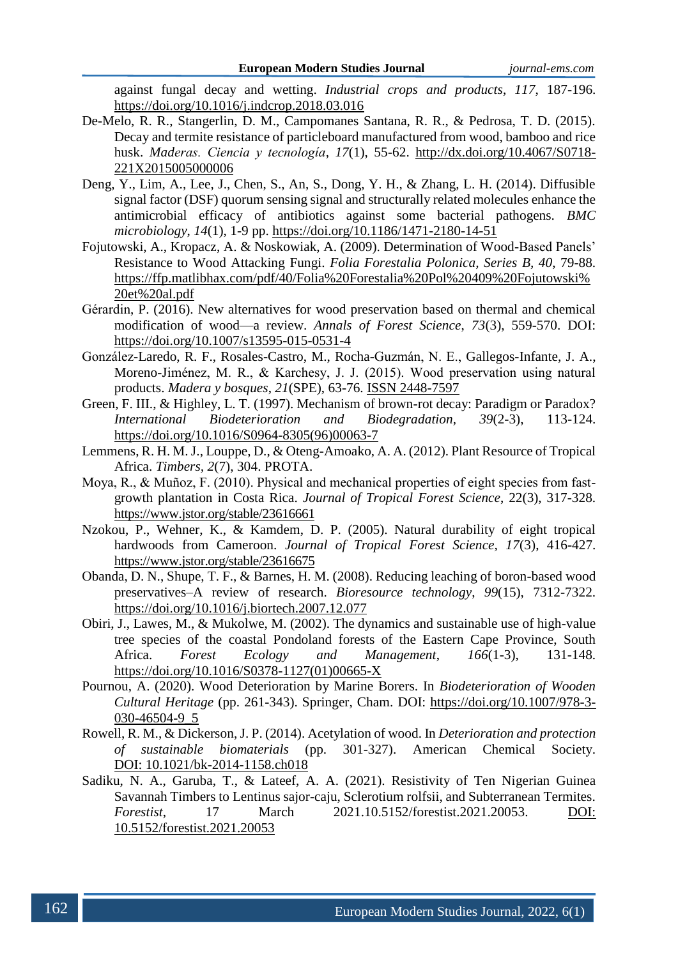against fungal decay and wetting. *Industrial crops and products*, *117*, 187-196. <https://doi.org/10.1016/j.indcrop.2018.03.016>

- De-Melo, R. R., Stangerlin, D. M., Campomanes Santana, R. R., & Pedrosa, T. D. (2015). Decay and termite resistance of particleboard manufactured from wood, bamboo and rice husk. *Maderas. Ciencia y tecnología*, *17*(1), 55-62. [http://dx.doi.org/10.4067/S0718-](http://dx.doi.org/10.4067/S0718-221X2015005000006) [221X2015005000006](http://dx.doi.org/10.4067/S0718-221X2015005000006)
- Deng, Y., Lim, A., Lee, J., Chen, S., An, S., Dong, Y. H., & Zhang, L. H. (2014). Diffusible signal factor (DSF) quorum sensing signal and structurally related molecules enhance the antimicrobial efficacy of antibiotics against some bacterial pathogens. *BMC microbiology*, *14*(1), 1-9 pp. https://doi.org/10.1186/1471-2180-14-51
- Fojutowski, A., Kropacz, A. & Noskowiak, A. (2009). Determination of Wood-Based Panels' Resistance to Wood Attacking Fungi. *Folia Forestalia Polonica, Series B, 40*, 79-88. https://ffp.matlibhax.com/pdf/40/Folia%20Forestalia%20Pol%20409%20Fojutowski% 20et%20al.pdf
- Gérardin, P. (2016). New alternatives for wood preservation based on thermal and chemical modification of wood—a review. *Annals of Forest Science*, *73*(3), 559-570. DOI: https://doi.org/10.1007/s13595-015-0531-4
- González-Laredo, R. F., Rosales-Castro, M., Rocha-Guzmán, N. E., Gallegos-Infante, J. A., Moreno-Jiménez, M. R., & Karchesy, J. J. (2015). Wood preservation using natural products. *Madera y bosques*, *21*(SPE), 63-76. ISSN 2448-7597
- Green, F. III., & Highley, L. T. (1997). Mechanism of brown-rot decay: Paradigm or Paradox? *International Biodeterioration and Biodegradation, 39*(2-3), 113-124. [https://doi.org/10.1016/S0964-8305\(96\)00063-7](https://doi.org/10.1016/S0964-8305(96)00063-7)
- Lemmens, R. H. M. J., Louppe, D., & Oteng-Amoako, A. A. (2012). Plant Resource of Tropical Africa. *Timbers, 2*(7), 304. PROTA.
- Moya, R., & Muñoz, F. (2010). Physical and mechanical properties of eight species from fastgrowth plantation in Costa Rica. *Journal of Tropical Forest Science*, 22(3), 317-328. https://www.jstor.org/stable/23616661
- Nzokou, P., Wehner, K., & Kamdem, D. P. (2005). Natural durability of eight tropical hardwoods from Cameroon. *Journal of Tropical Forest Science, 17*(3), 416-427. https://www.jstor.org/stable/23616675
- Obanda, D. N., Shupe, T. F., & Barnes, H. M. (2008). Reducing leaching of boron-based wood preservatives–A review of research. *Bioresource technology*, *99*(15), 7312-7322. <https://doi.org/10.1016/j.biortech.2007.12.077>
- Obiri, J., Lawes, M., & Mukolwe, M. (2002). The dynamics and sustainable use of high-value tree species of the coastal Pondoland forests of the Eastern Cape Province, South Africa. *Forest Ecology and Management*, *166*(1-3), 131-148. [https://doi.org/10.1016/S0378-1127\(01\)00665-X](https://doi.org/10.1016/S0378-1127(01)00665-X)
- Pournou, A. (2020). Wood Deterioration by Marine Borers. In *Biodeterioration of Wooden Cultural Heritage* (pp. 261-343). Springer, Cham. DOI: [https://doi.org/10.1007/978-3-](https://doi.org/10.1007/978-3-030-46504-9_5) [030-46504-9\\_5](https://doi.org/10.1007/978-3-030-46504-9_5)
- Rowell, R. M., & Dickerson, J. P. (2014). Acetylation of wood. In *Deterioration and protection of sustainable biomaterials* (pp. 301-327). American Chemical Society. DOI: 10.1021/bk-2014-1158.ch018
- Sadiku, N. A., Garuba, T., & Lateef, A. A. (2021). Resistivity of Ten Nigerian Guinea Savannah Timbers to Lentinus sajor-caju, Sclerotium rolfsii, and Subterranean Termites. *Forestist*, 17 March 2021.10.5152/forestist.2021.20053. DOI: 10.5152/forestist.2021.20053